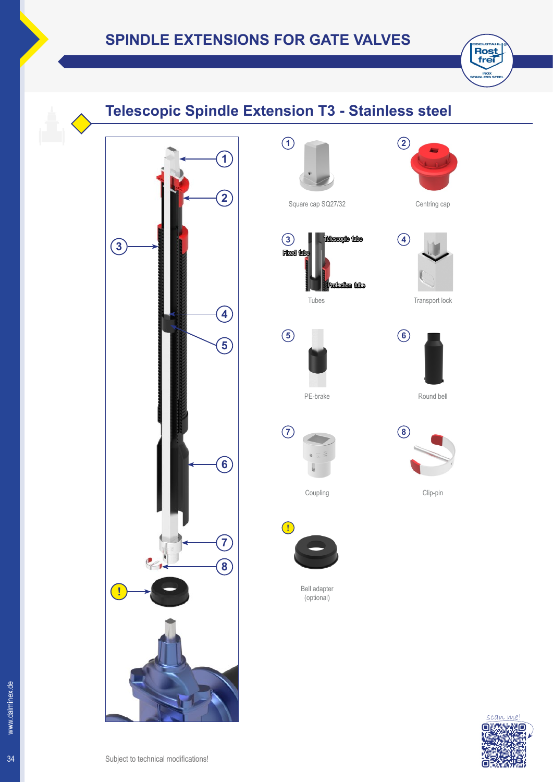## 34 Subject to technical modifications! PE-brake Coupling Bell adapter (optional) **1 5 3 7 !** Square cap SQ27/32 Tubes Telescopic tube Fixed (up Protection tube **1 2 4 5 6 7 8 3 !**

## **Telescopic Spindle Extension T3 - Stainless steel**



E

**2**